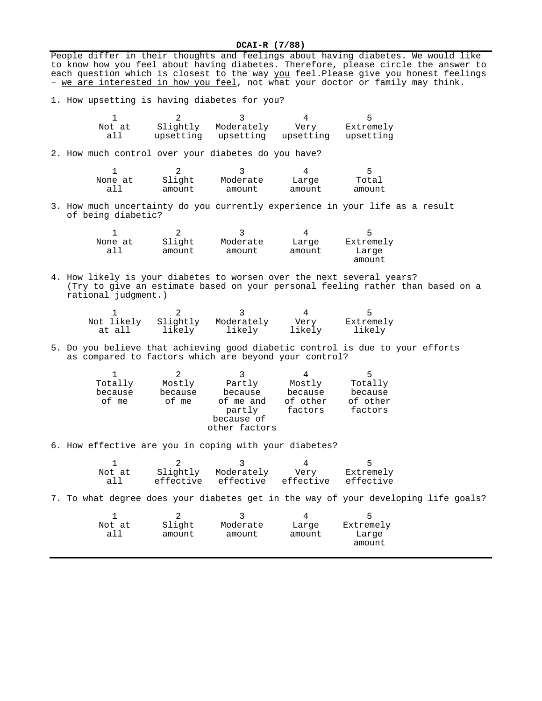**DCAI-R (7/88)** People differ in their thoughts and feelings about having diabetes. We would like

|                                                                                              |                                 |                                                                              |                                               | to know how you feel about having diabetes. Therefore, please circle the answer to<br>each question which is closest to the way you feel. Please give you honest feelings<br>- we are interested in how you feel, not what your doctor or family may think. |
|----------------------------------------------------------------------------------------------|---------------------------------|------------------------------------------------------------------------------|-----------------------------------------------|-------------------------------------------------------------------------------------------------------------------------------------------------------------------------------------------------------------------------------------------------------------|
| 1. How upsetting is having diabetes for you?                                                 |                                 |                                                                              |                                               |                                                                                                                                                                                                                                                             |
| $\mathbf{1}$<br>Not at<br>all                                                                | 2<br>Slightly<br>upsetting      | 3<br>Moderately<br>upsetting                                                 | 4<br>Very<br>upsetting                        | 5<br>Extremely<br>upsetting                                                                                                                                                                                                                                 |
| 2. How much control over your diabetes do you have?                                          |                                 |                                                                              |                                               |                                                                                                                                                                                                                                                             |
| 1<br>None at<br>all                                                                          | 2<br>Slight<br>amount           | 3<br>Moderate<br>amount                                                      | 4<br>Large<br>amount                          | 5<br>Total<br>amount                                                                                                                                                                                                                                        |
| of being diabetic?                                                                           |                                 |                                                                              |                                               | 3. How much uncertainty do you currently experience in your life as a result                                                                                                                                                                                |
| 1<br>None at<br>all                                                                          | 2<br>Slight<br>amount           | 3<br>Moderate<br>amount                                                      | 4<br>Large<br>amount                          | 5<br>Extremely<br>Large<br>amount                                                                                                                                                                                                                           |
| 4. How likely is your diabetes to worsen over the next several years?<br>rational judgment.) |                                 |                                                                              |                                               | (Try to give an estimate based on your personal feeling rather than based on a                                                                                                                                                                              |
| Not likely<br>at all                                                                         | 2<br>Slightly<br>likely         | 3<br>Moderately<br>likely                                                    | 4<br>Very<br>likely                           | 5<br>Extremely<br>likely                                                                                                                                                                                                                                    |
| as compared to factors which are beyond your control?                                        |                                 |                                                                              |                                               | 5. Do you believe that achieving good diabetic control is due to your efforts                                                                                                                                                                               |
| $\mathbf 1$<br>Totally<br>because<br>of me                                                   | 2<br>Mostly<br>because<br>of me | 3<br>Partly<br>because<br>of me and<br>partly<br>because of<br>other factors | 4<br>Mostly<br>because<br>of other<br>factors | 5<br>Totally<br>because<br>of other<br>factors                                                                                                                                                                                                              |
| 6. How effective are you in coping with your diabetes?                                       |                                 |                                                                              |                                               |                                                                                                                                                                                                                                                             |
| 1<br>Not at<br>all                                                                           | 2<br>Slightly<br>effective      | 3<br>Moderately<br>effective                                                 | 4<br>Very<br>effective                        | 5<br>Extremely<br>effective                                                                                                                                                                                                                                 |
|                                                                                              |                                 |                                                                              |                                               | 7. To what degree does your diabetes get in the way of your developing life goals?                                                                                                                                                                          |
| 1<br>Not at<br>all                                                                           | 2<br>Slight<br>amount           | 3<br>Moderate<br>amount                                                      | 4<br>Large<br>amount                          | 5<br>Extremely<br>Large<br>amount                                                                                                                                                                                                                           |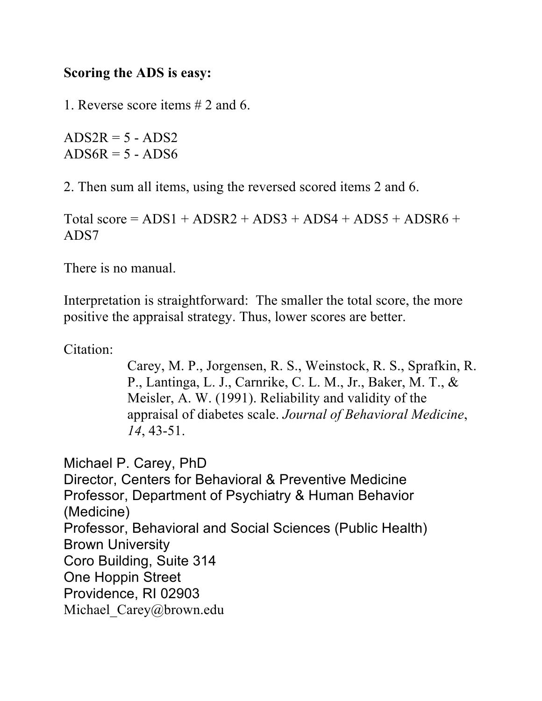## **Scoring the ADS is easy:**

1. Reverse score items # 2 and 6.

 $ADS2R = 5 - ADS2$  $ADS6R = 5 - ADS6$ 

2. Then sum all items, using the reversed scored items 2 and 6.

Total score =  $ADS1 + ADSR2 + ADS3 + ADS4 + ADS5 + ADS6 +$ ADS7

There is no manual.

Interpretation is straightforward: The smaller the total score, the more positive the appraisal strategy. Thus, lower scores are better.

Citation:

Carey, M. P., Jorgensen, R. S., Weinstock, R. S., Sprafkin, R. P., Lantinga, L. J., Carnrike, C. L. M., Jr., Baker, M. T., & Meisler, A. W. (1991). Reliability and validity of the appraisal of diabetes scale. *Journal of Behavioral Medicine*, *14*, 43-51.

Michael P. Carey, PhD Director, Centers for Behavioral & Preventive Medicine Professor, Department of Psychiatry & Human Behavior (Medicine) Professor, Behavioral and Social Sciences (Public Health) Brown University Coro Building, Suite 314 One Hoppin Street Providence, RI 02903 Michael Carey@brown.edu